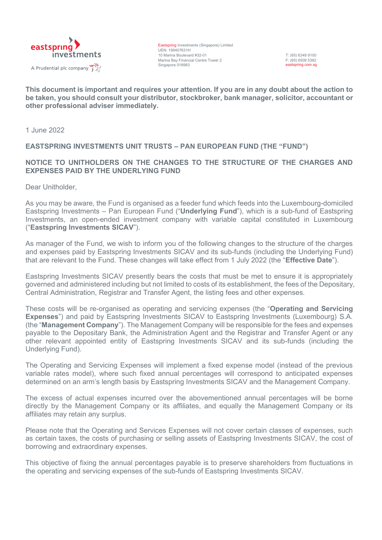

Eastspring Investments (Singapore) Limited UEN: 199407631H 10 Marina Boulevard #32-01 Marina Bay Financial Centre Tower 2 Singapore 018983

T: (65) 6349 9100 F: (65) 6509 5382 eastspring.com.sg

**This document is important and requires your attention. If you are in any doubt about the action to be taken, you should consult your distributor, stockbroker, bank manager, solicitor, accountant or other professional adviser immediately.**

1 June 2022

## **EASTSPRING INVESTMENTS UNIT TRUSTS – PAN EUROPEAN FUND (THE "FUND")**

### **NOTICE TO UNITHOLDERS ON THE CHANGES TO THE STRUCTURE OF THE CHARGES AND EXPENSES PAID BY THE UNDERLYING FUND**

Dear Unitholder,

As you may be aware, the Fund is organised as a feeder fund which feeds into the Luxembourg-domiciled Eastspring Investments – Pan European Fund ("**Underlying Fund**"), which is a sub-fund of Eastspring Investments, an open-ended investment company with variable capital constituted in Luxembourg ("**Eastspring Investments SICAV**").

As manager of the Fund, we wish to inform you of the following changes to the structure of the charges and expenses paid by Eastspring Investments SICAV and its sub-funds (including the Underlying Fund) that are relevant to the Fund. These changes will take effect from 1 July 2022 (the "**Effective Date**").

Eastspring Investments SICAV presently bears the costs that must be met to ensure it is appropriately governed and administered including but not limited to costs of its establishment, the fees of the Depositary, Central Administration, Registrar and Transfer Agent, the listing fees and other expenses.

These costs will be re-organised as operating and servicing expenses (the "**Operating and Servicing Expenses**") and paid by Eastspring Investments SICAV to Eastspring Investments (Luxembourg) S.A. (the "**Management Company**"). The Management Company will be responsible for the fees and expenses payable to the Depositary Bank, the Administration Agent and the Registrar and Transfer Agent or any other relevant appointed entity of Eastspring Investments SICAV and its sub-funds (including the Underlying Fund).

The Operating and Servicing Expenses will implement a fixed expense model (instead of the previous variable rates model), where such fixed annual percentages will correspond to anticipated expenses determined on an arm's length basis by Eastspring Investments SICAV and the Management Company.

The excess of actual expenses incurred over the abovementioned annual percentages will be borne directly by the Management Company or its affiliates, and equally the Management Company or its affiliates may retain any surplus.

Please note that the Operating and Services Expenses will not cover certain classes of expenses, such as certain taxes, the costs of purchasing or selling assets of Eastspring Investments SICAV, the cost of borrowing and extraordinary expenses.

This objective of fixing the annual percentages payable is to preserve shareholders from fluctuations in the operating and servicing expenses of the sub-funds of Eastspring Investments SICAV.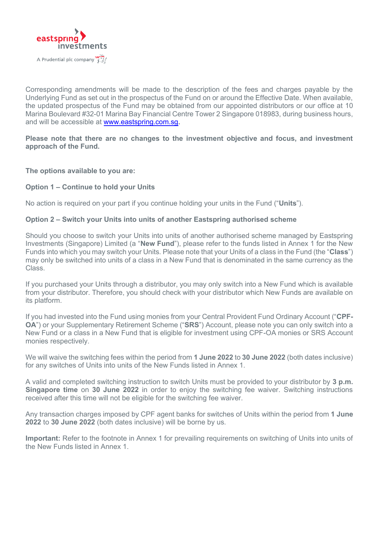

Corresponding amendments will be made to the description of the fees and charges payable by the Underlying Fund as set out in the prospectus of the Fund on or around the Effective Date. When available, the updated prospectus of the Fund may be obtained from our appointed distributors or our office at 10 Marina Boulevard #32-01 Marina Bay Financial Centre Tower 2 Singapore 018983, during business hours, and will be accessible at [www.eastspring.com.sg.](file://///EastspringFS.pamsg.intranet.asia/Groups/RISO/Singapore%20Products/PHS/EIUT%20PHS/12%20Feb%202015/v1/www.eastspring.com.sg)

### **Please note that there are no changes to the investment objective and focus, and investment approach of the Fund.**

**The options available to you are:** 

#### **Option 1 – Continue to hold your Units**

No action is required on your part if you continue holding your units in the Fund ("**Units**").

#### **Option 2 – Switch your Units into units of another Eastspring authorised scheme**

Should you choose to switch your Units into units of another authorised scheme managed by Eastspring Investments (Singapore) Limited (a "**New Fund**"), please refer to the funds listed in Annex 1 for the New Funds into which you may switch your Units. Please note that your Units of a class in the Fund (the "**Class**") may only be switched into units of a class in a New Fund that is denominated in the same currency as the Class.

If you purchased your Units through a distributor, you may only switch into a New Fund which is available from your distributor. Therefore, you should check with your distributor which New Funds are available on its platform.

If you had invested into the Fund using monies from your Central Provident Fund Ordinary Account ("**CPF-OA**") or your Supplementary Retirement Scheme ("**SRS**") Account, please note you can only switch into a New Fund or a class in a New Fund that is eligible for investment using CPF-OA monies or SRS Account monies respectively.

We will waive the switching fees within the period from **1 June 2022** to **30 June 2022** (both dates inclusive) for any switches of Units into units of the New Funds listed in Annex 1.

A valid and completed switching instruction to switch Units must be provided to your distributor by **3 p.m. Singapore time** on **30 June 2022** in order to enjoy the switching fee waiver. Switching instructions received after this time will not be eligible for the switching fee waiver.

Any transaction charges imposed by CPF agent banks for switches of Units within the period from **1 June 2022** to **30 June 2022** (both dates inclusive) will be borne by us.

**Important:** Refer to the footnote in Annex 1 for prevailing requirements on switching of Units into units of the New Funds listed in Annex 1.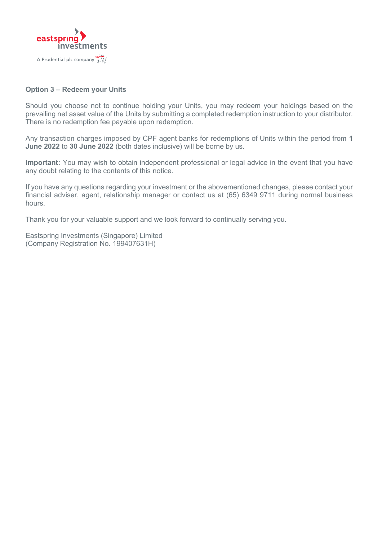

## **Option 3 – Redeem your Units**

Should you choose not to continue holding your Units, you may redeem your holdings based on the prevailing net asset value of the Units by submitting a completed redemption instruction to your distributor. There is no redemption fee payable upon redemption.

Any transaction charges imposed by CPF agent banks for redemptions of Units within the period from **1 June 2022** to **30 June 2022** (both dates inclusive) will be borne by us.

**Important:** You may wish to obtain independent professional or legal advice in the event that you have any doubt relating to the contents of this notice.

If you have any questions regarding your investment or the abovementioned changes, please contact your financial adviser, agent, relationship manager or contact us at (65) 6349 9711 during normal business hours.

Thank you for your valuable support and we look forward to continually serving you.

Eastspring Investments (Singapore) Limited (Company Registration No. 199407631H)